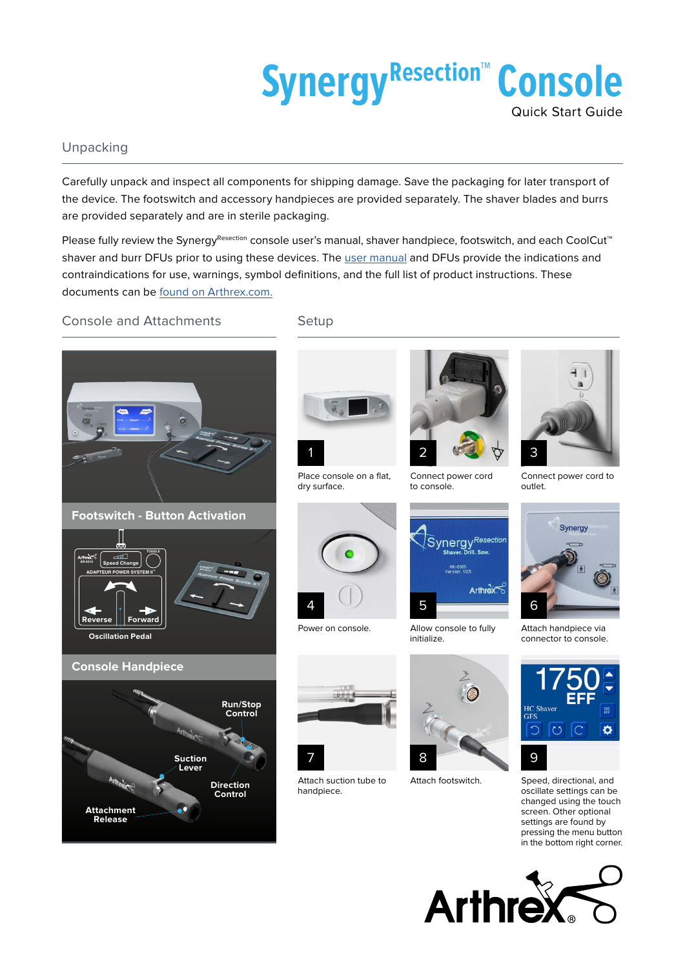

## Unpacking

Carefully unpack and inspect all components for shipping damage. Save the packaging for later transport of the device. The footswitch and accessory handpieces are provided separately. The shaver blades and burrs are provided separately and are in sterile packaging.

Please fully review the SynergyResection console user's manual, shaver handpiece, footswitch, and each CoolCut™ shaver and burr DFUs prior to using these devices. The [user manual](https://www.arthrex.com/link/asset/HfAtNDM5YE241AFovzAfLg) and DFUs provide the indications and contraindications for use, warnings, symbol definitions, and the full list of product instructions. These documents can be [found on Arthrex.com.](https://www.arthrex.com/link/asset/HfAtNDM5YE241AFovzAfLg)

Console and Attachments

Setup



Place console on a flat,



dry surface.



Connect power cord to console.





connector to console.



Speed, directional, and oscillate settings can be changed using the touch screen. Other optional settings are found by pressing the menu button in the bottom right corner.









Power on console.

4

Attach suction tube to handpiece.



Allow console to fully

initialize.

5

Attach footswitch.

Synergy<sup>Resection</sup> Arthrex

Attach handpiece via